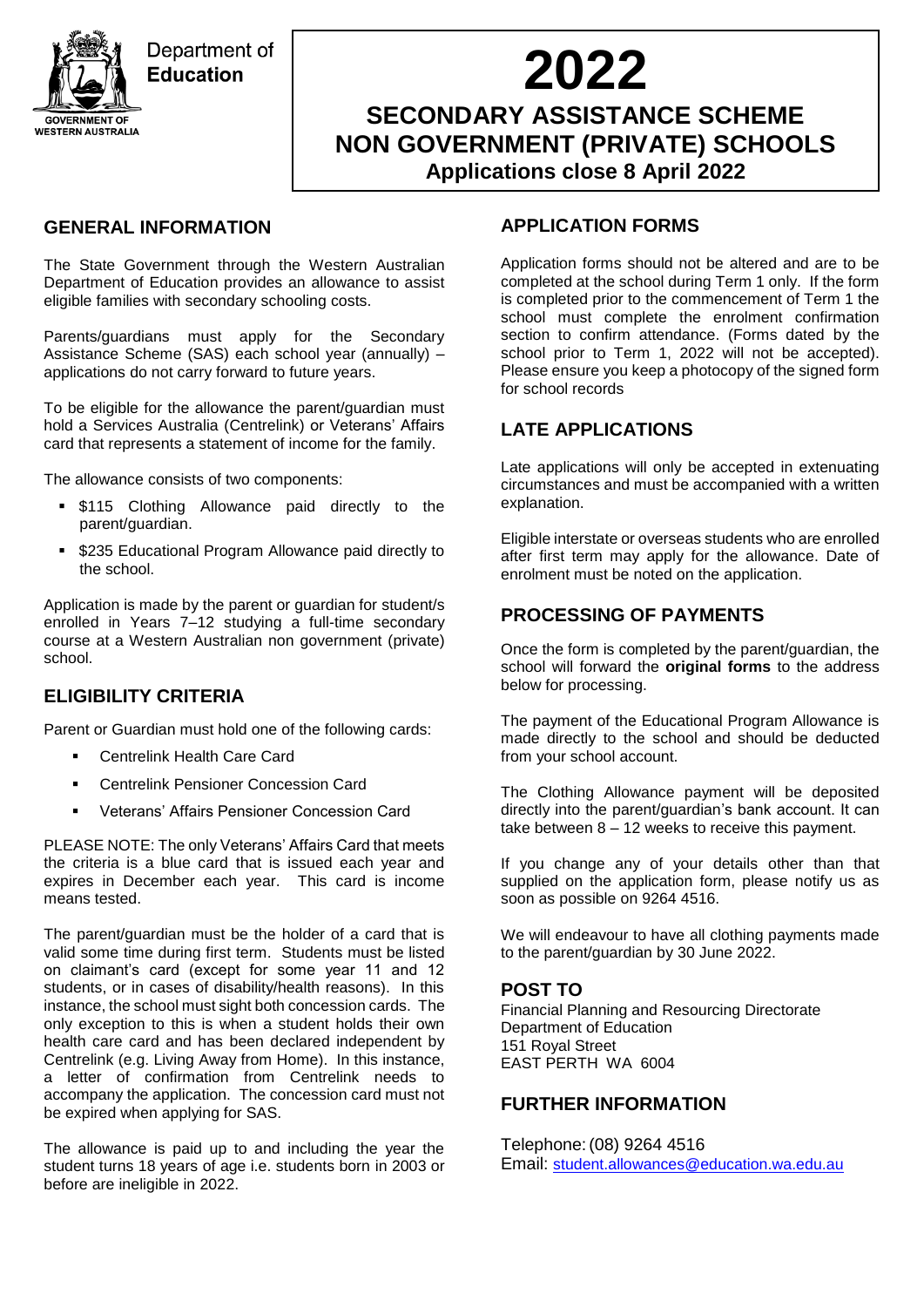

# **2022**

# **SECONDARY ASSISTANCE SCHEME NON GOVERNMENT (PRIVATE) SCHOOLS Applications close 8 April 2022**

## **GENERAL INFORMATION**

The State Government through the Western Australian Department of Education provides an allowance to assist eligible families with secondary schooling costs.

Parents/guardians must apply for the Secondary Assistance Scheme (SAS) each school year (annually) – applications do not carry forward to future years.

To be eligible for the allowance the parent/guardian must hold a Services Australia (Centrelink) or Veterans' Affairs card that represents a statement of income for the family.

The allowance consists of two components:

- \$115 Clothing Allowance paid directly to the parent/guardian.
- \$235 Educational Program Allowance paid directly to the school.

Application is made by the parent or guardian for student/s enrolled in Years 7–12 studying a full-time secondary course at a Western Australian non government (private) school.

## **ELIGIBILITY CRITERIA**

Parent or Guardian must hold one of the following cards:

- Centrelink Health Care Card
- **EXEC** Centrelink Pensioner Concession Card
- Veterans' Affairs Pensioner Concession Card

PLEASE NOTE: The only Veterans' Affairs Card that meets the criteria is a blue card that is issued each year and expires in December each year. This card is income means tested.

The parent/guardian must be the holder of a card that is valid some time during first term. Students must be listed on claimant's card (except for some year 11 and 12 students, or in cases of disability/health reasons). In this instance, the school must sight both concession cards. The only exception to this is when a student holds their own health care card and has been declared independent by Centrelink (e.g. Living Away from Home). In this instance, a letter of confirmation from Centrelink needs to accompany the application. The concession card must not be expired when applying for SAS.

The allowance is paid up to and including the year the student turns 18 years of age i.e. students born in 2003 or before are ineligible in 2022.

#### **APPLICATION FORMS**

Application forms should not be altered and are to be completed at the school during Term 1 only. If the form is completed prior to the commencement of Term 1 the school must complete the enrolment confirmation section to confirm attendance. (Forms dated by the school prior to Term 1, 2022 will not be accepted). Please ensure you keep a photocopy of the signed form for school records

## **LATE APPLICATIONS**

Late applications will only be accepted in extenuating circumstances and must be accompanied with a written explanation.

Eligible interstate or overseas students who are enrolled after first term may apply for the allowance. Date of enrolment must be noted on the application.

#### **PROCESSING OF PAYMENTS**

Once the form is completed by the parent/guardian, the school will forward the **original forms** to the address below for processing.

The payment of the Educational Program Allowance is made directly to the school and should be deducted from your school account.

The Clothing Allowance payment will be deposited directly into the parent/guardian's bank account. It can take between 8 – 12 weeks to receive this payment.

If you change any of your details other than that supplied on the application form, please notify us as soon as possible on 9264 4516.

We will endeavour to have all clothing payments made to the parent/guardian by 30 June 2022.

#### **POST TO**

Financial Planning and Resourcing Directorate Department of Education 151 Royal Street EAST PERTH WA 6004

#### **FURTHER INFORMATION**

Telephone:(08) 9264 4516 Email: [student.allowances@education.wa.edu.au](mailto:student.allowances@education.wa.edu.au)